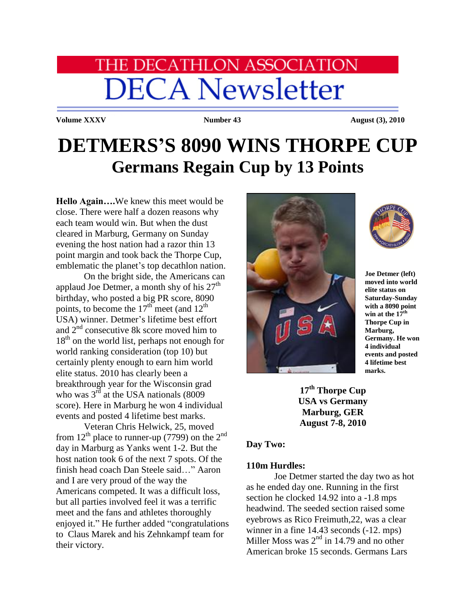# **HE DECATHLON ASSOCIATION DECA Newsletter**

**Volume XXXV Number 43 August (3), 2010** 

## **DETMERS'S 8090 WINS THORPE CUP Germans Regain Cup by 13 Points**

**Hello Again….**We knew this meet would be close. There were half a dozen reasons why each team would win. But when the dust cleared in Marburg, Germany on Sunday evening the host nation had a razor thin 13 point margin and took back the Thorpe Cup, emblematic the planet's top decathlon nation.

On the bright side, the Americans can applaud Joe Detmer, a month shy of his  $27<sup>th</sup>$ birthday, who posted a big PR score, 8090 points, to become the  $17<sup>th</sup>$  meet (and  $12<sup>th</sup>$ ) USA) winner. Detmer's lifetime best effort and  $2<sup>nd</sup>$  consecutive 8k score moved him to  $18<sup>th</sup>$  on the world list, perhaps not enough for world ranking consideration (top 10) but certainly plenty enough to earn him world elite status. 2010 has clearly been a breakthrough year for the Wisconsin grad who was  $3^{\overrightarrow{rd}}$  at the USA nationals (8009 score). Here in Marburg he won 4 individual events and posted 4 lifetime best marks.

Veteran Chris Helwick, 25, moved from  $12<sup>th</sup>$  place to runner-up (7799) on the  $2<sup>nd</sup>$ day in Marburg as Yanks went 1-2. But the host nation took 6 of the next 7 spots. Of the finish head coach Dan Steele said…" Aaron and I are very proud of the way the Americans competed. It was a difficult loss, but all parties involved feel it was a terrific meet and the fans and athletes thoroughly enjoyed it." He further added "congratulations to Claus Marek and his Zehnkampf team for their victory.





**Joe Detmer (left) moved into world elite status on Saturday-Sunday with a 8090 point win at the 17th Thorpe Cup in Marburg, Germany. He won 4 individual events and posted 4 lifetime best marks.**

**17th Thorpe Cup USA vs Germany Marburg, GER August 7-8, 2010**

#### **Day Two:**

#### **110m Hurdles:**

Joe Detmer started the day two as hot as he ended day one. Running in the first section he clocked 14.92 into a -1.8 mps headwind. The seeded section raised some eyebrows as Rico Freimuth,22, was a clear winner in a fine 14.43 seconds  $(-12$ . mps) Miller Moss was  $2<sup>nd</sup>$  in 14.79 and no other American broke 15 seconds. Germans Lars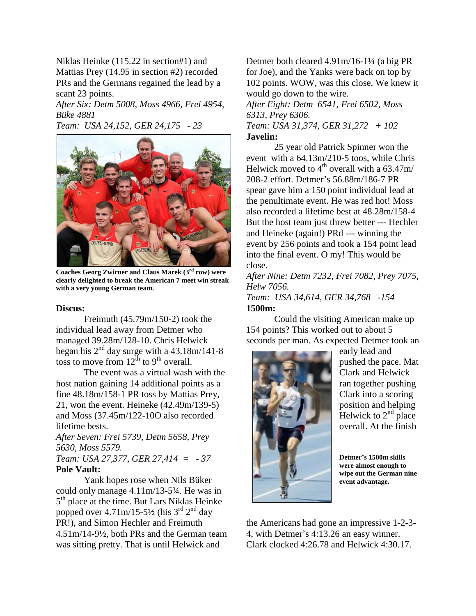Niklas Heinke (115.22 in section#1) and Mattias Prey (14.95 in section #2) recorded PRs and the Germans regained the lead by a scant 23 points.

*After Six: Detm 5008, Moss 4966, Frei 4954, Büke 4881*

*Team: USA 24,152, GER 24,175 - 23*



**Coaches Georg Zwirner and Claus Marek (3rd row) were clearly delighted to break the American 7 meet win streak with a very young German team.**

#### **Discus:**

Freimuth (45.79m/150-2) took the individual lead away from Detmer who managed 39.28m/128-10. Chris Helwick began his  $2<sup>nd</sup>$  day surge with a 43.18m/141-8 toss to move from  $12^{th}$  to 9<sup>th</sup> overall.

The event was a virtual wash with the host nation gaining 14 additional points as a fine 48.18m/158-1 PR toss by Mattias Prey, 21, won the event. Heineke (42.49m/139-5) and Moss (37.45m/122-10O also recorded lifetime bests.

*After Seven: Frei 5739, Detm 5658, Prey 5630, Moss 5579. Team: USA 27,377, GER 27,414 = - 37*

#### **Pole Vault:**

Yank hopes rose when Nils Büker could only manage 4.11m/13-5¾. He was in 5<sup>th</sup> place at the time. But Lars Niklas Heinke popped over  $4.71 \text{m}/15-5\frac{1}{2}$  (his 3<sup>rd</sup> 2<sup>nd</sup> day PR!), and Simon Hechler and Freimuth 4.51m/14-9½, both PRs and the German team was sitting pretty. That is until Helwick and

Detmer both cleared 4.91m/16-1¼ (a big PR for Joe), and the Yanks were back on top by 102 points. WOW, was this close. We knew it would go down to the wire. *After Eight: Detm 6541, Frei 6502, Moss 6313, Prey 6306. Team: USA 31,374, GER 31,272 + 102* **Javelin:**

25 year old Patrick Spinner won the event with a 64.13m/210-5 toos, while Chris Helwick moved to  $4<sup>th</sup>$  overall with a 63.47m/ 208-2 effort. Detmer's 56.88m/186-7 PR spear gave him a 150 point individual lead at the penultimate event. He was red hot! Moss also recorded a lifetime best at 48.28m/158-4 But the host team just threw better --- Hechler and Heineke (again!) PRd --- winning the event by 256 points and took a 154 point lead into the final event. O my! This would be close.

*After Nine: Detm 7232, Frei 7082, Prey 7075, Helw 7056. Team: USA 34,614, GER 34,768 -154*

**1500m:**

Could the visiting American make up 154 points? This worked out to about 5 seconds per man. As expected Detmer took an



early lead and pushed the pace. Mat Clark and Helwick ran together pushing Clark into a scoring position and helping Helwick to  $2<sup>nd</sup>$  place overall. At the finish

**Detmer's 1500m skills were almost enough to wipe out the German nine event advantage.**

the Americans had gone an impressive 1-2-3- 4, with Detmer's 4:13.26 an easy winner. Clark clocked 4:26.78 and Helwick 4:30.17.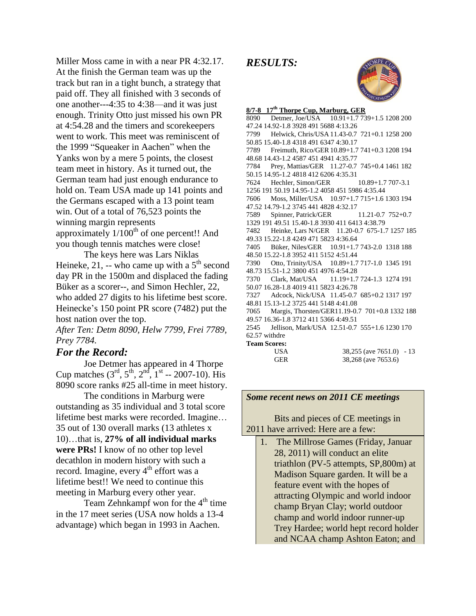Miller Moss came in with a near PR 4:32.17. At the finish the German team was up the track but ran in a tight bunch, a strategy that paid off. They all finished with 3 seconds of one another---4:35 to 4:38—and it was just enough. Trinity Otto just missed his own PR at 4:54.28 and the timers and scorekeepers went to work. This meet was reminiscent of the 1999 "Squeaker in Aachen" when the Yanks won by a mere 5 points, the closest team meet in history. As it turned out, the German team had just enough endurance to hold on. Team USA made up 141 points and the Germans escaped with a 13 point team win. Out of a total of 76,523 points the winning margin represents approximately  $1/100^{th}$  of one percent!! And you though tennis matches were close!

The keys here was Lars Niklas Heineke, 21, -- who came up with a  $5<sup>th</sup>$  second day PR in the 1500m and displaced the fading Büker as a scorer--, and Simon Hechler, 22, who added 27 digits to his lifetime best score. Heinecke's 150 point PR score (7482) put the host nation over the top.

*After Ten: Detm 8090, Helw 7799, Frei 7789, Prey 7784.*

### *For the Record:*

Joe Detmer has appeared in 4 Thorpe Cup matches  $(3^{\text{rd}}, 5^{\text{th}}, 2^{\text{nd}}, 1^{\text{st}} - 2007 - 10)$ . His 8090 score ranks #25 all-time in meet history.

The conditions in Marburg were outstanding as 35 individual and 3 total score lifetime best marks were recorded. Imagine… 35 out of 130 overall marks (13 athletes x 10)…that is, **27% of all individual marks were PRs!** I know of no other top level decathlon in modern history with such a record. Imagine, every  $4<sup>th</sup>$  effort was a lifetime best!! We need to continue this meeting in Marburg every other year.

Team Zehnkampf won for the  $4<sup>th</sup>$  time in the 17 meet series (USA now holds a 13-4 advantage) which began in 1993 in Aachen.

*RESULTS:* 



**8/7-8 17th Thorpe Cup, Marburg, GER** 8090 Detmer, Joe/USA 10.91+1.7 739+1.5 1208 200 47.24 14.92-1.8 3928 491 5688 4:13.26 7799 Helwick, Chris/USA 11.43-0.7 721+0.1 1258 200 50.85 15.40-1.8 4318 491 6347 4:30.17 7789 Freimuth, Rico/GER10.89+1.7 741+0.3 1208 194 48.68 14.43-1.2 4587 451 4941 4:35.77 7784 Prey, Mattias/GER 11.27-0.7 745+0.4 1461 182 50.15 14.95-1.2 4818 412 6206 4:35.31 7624 Hechler, Simon/GER 10.89+1.7 707-3.1 1256 191 50.19 14.95-1.2 4058 451 5986 4:35.44 7606 Moss, Miller/USA 10.97+1.7 715+1.6 1303 194 47.52 14.79-1.2 3745 441 4828 4:32.17 7589 Spinner, Patrick/GER 11.21-0.7 752+0.7 1329 191 49.51 15.40-1.8 3930 411 6413 4:38.79 7482 Heinke, Lars N/GER 11.20-0.7 675-1.7 1257 185 49.33 15.22-1.8 4249 471 5823 4:36.64 7405 Büker, Niles/GER 10.91+1.7 743-2.0 1318 188 48.50 15.22-1.8 3952 411 5152 4:51.44 7390 Otto, Trinity/USA 10.89+1.7 717-1.0 1345 191 48.73 15.51-1.2 3800 451 4976 4:54.28 7370 Clark, Mat/USA 11.19+1.7 724-1.3 1274 191 50.07 16.28-1.8 4019 411 5823 4:26.78 7327 Adcock, Nick/USA 11.45-0.7 685+0.2 1317 197 48.81 15.13-1.2 3725 441 5148 4:41.08 7065 Margis, Thorsten/GER11.19-0.7 701+0.8 1332 188 49.57 16.36-1.8 3712 411 5366 4:49.51 2545 Jellison, Mark/USA 12.51-0.7 555+1.6 1230 170 62.57 withdre **Team Scores:**  USA 38,255 (ave 7651.0) - 13 GER 38,268 (ave 7653.6)

#### *Some recent news on 2011 CE meetings*

Bits and pieces of CE meetings in 2011 have arrived: Here are a few:

1. The Millrose Games (Friday, Januar 28, 2011) will conduct an elite triathlon (PV-5 attempts, SP,800m) at Madison Square garden. It will be a feature event with the hopes of attracting Olympic and world indoor champ Bryan Clay; world outdoor champ and world indoor runner-up Trey Hardee; world hept record holder and NCAA champ Ashton Eaton; and